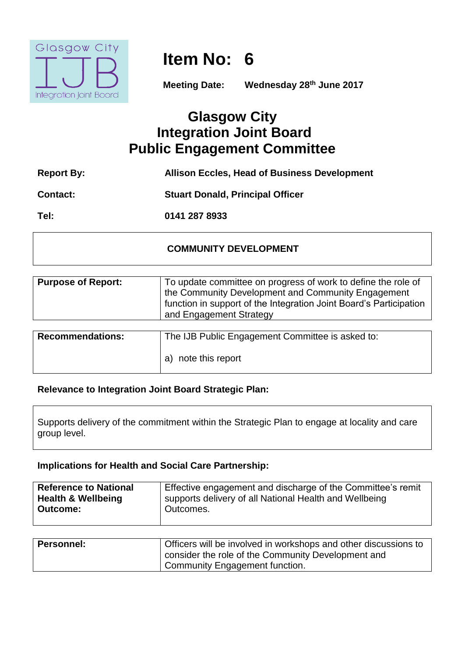

# **Item No: 6**

**Meeting Date: Wednesday 28th June 2017**

## **Glasgow City Integration Joint Board Public Engagement Committee**

| <b>Report By:</b> | <b>Allison Eccles, Head of Business Development</b> |
|-------------------|-----------------------------------------------------|
| <b>Contact:</b>   | <b>Stuart Donald, Principal Officer</b>             |
| Tel:              | 0141 287 8933                                       |

## **COMMUNITY DEVELOPMENT**

| <b>Purpose of Report:</b> | To update committee on progress of work to define the role of<br>the Community Development and Community Engagement<br>function in support of the Integration Joint Board's Participation<br>and Engagement Strategy |
|---------------------------|----------------------------------------------------------------------------------------------------------------------------------------------------------------------------------------------------------------------|
|                           |                                                                                                                                                                                                                      |
| <b>Recommendations:</b>   | The IJB Public Engagement Committee is asked to:                                                                                                                                                                     |

a) note this report

## **Relevance to Integration Joint Board Strategic Plan:**

Supports delivery of the commitment within the Strategic Plan to engage at locality and care group level.

## **Implications for Health and Social Care Partnership:**

| <b>Reference to National</b>  | Effective engagement and discharge of the Committee's remit |
|-------------------------------|-------------------------------------------------------------|
| <b>Health &amp; Wellbeing</b> | supports delivery of all National Health and Wellbeing      |
| <b>Outcome:</b>               | Outcomes.                                                   |

| <b>Personnel:</b> | Officers will be involved in workshops and other discussions to |
|-------------------|-----------------------------------------------------------------|
|                   | consider the role of the Community Development and              |
|                   | Community Engagement function.                                  |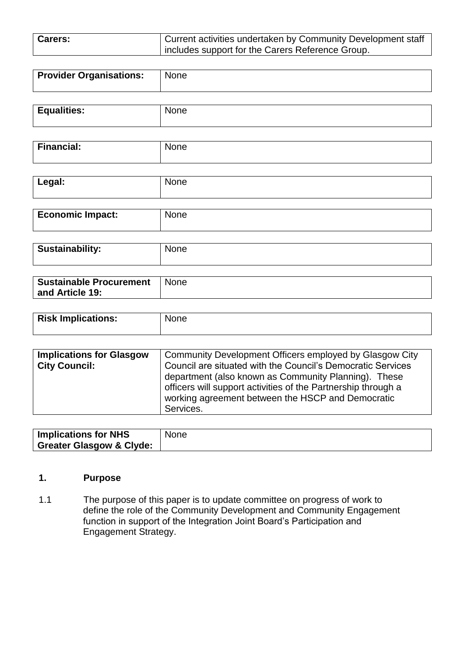| <b>Carers:</b> | Current activities undertaken by Community Development staff |
|----------------|--------------------------------------------------------------|
|                | Includes support for the Carers Reference Group.             |

| <b>Provider Organisations:</b> | None |
|--------------------------------|------|
|                                |      |

| <b>Equalities:</b> | 1.n.e<br>.JNG. |
|--------------------|----------------|
|                    |                |

| . <u>.</u><br>------<br>ш. | $ -$ |
|----------------------------|------|
|                            |      |

| Legal:                  | <b>None</b> |
|-------------------------|-------------|
|                         |             |
| <b>Economic Impact:</b> | <b>None</b> |

| <sup>l</sup> Sustainability: | None |
|------------------------------|------|

| <b>Sustainable Procurement</b><br>and Article 19: | <b>None</b> |
|---------------------------------------------------|-------------|
|                                                   |             |
|                                                   |             |

| <b>Risk Implications:</b> | <b>None</b> |
|---------------------------|-------------|
|                           |             |

| <b>Implications for Glasgow</b> | Community Development Officers employed by Glasgow City       |
|---------------------------------|---------------------------------------------------------------|
| <b>City Council:</b>            | Council are situated with the Council's Democratic Services   |
|                                 | department (also known as Community Planning). These          |
|                                 | officers will support activities of the Partnership through a |
|                                 | working agreement between the HSCP and Democratic             |
|                                 | Services.                                                     |

| <b>Implications for NHS</b>         | <b>None</b> |
|-------------------------------------|-------------|
| <b>Greater Glasgow &amp; Clyde:</b> |             |

## **1. Purpose**

1.1 The purpose of this paper is to update committee on progress of work to define the role of the Community Development and Community Engagement function in support of the Integration Joint Board's Participation and Engagement Strategy.